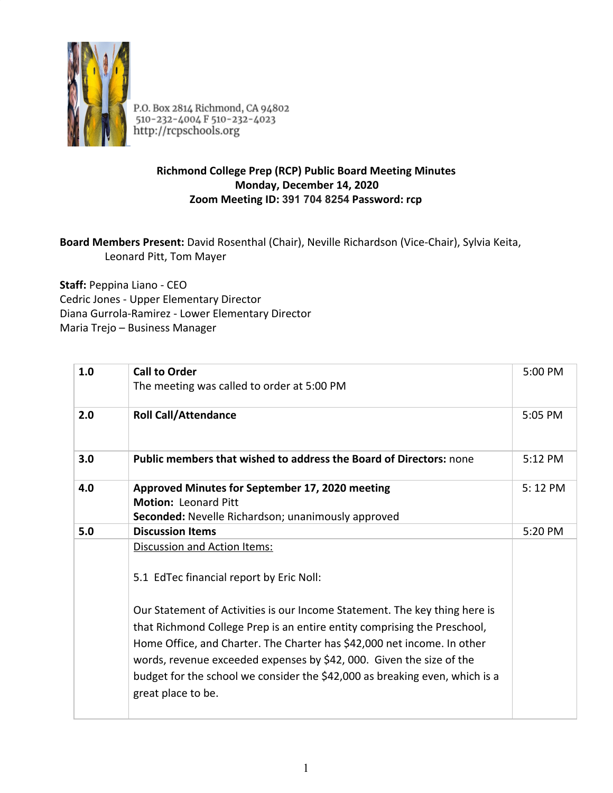

P.O. Box 2814 Richmond, CA 94802<br>510-232-4004 F 510-232-4023<br>http://rcpschools.org

## **Richmond College Prep (RCP) Public Board Meeting Minutes Monday, December 14, 2020 Zoom Meeting ID: 391 704 8254 Password: rcp**

## **Board Members Present:** David Rosenthal (Chair), Neville Richardson (Vice-Chair), Sylvia Keita, Leonard Pitt, Tom Mayer

**Staff:** Peppina Liano - CEO Cedric Jones - Upper Elementary Director Diana Gurrola-Ramirez - Lower Elementary Director Maria Trejo – Business Manager

| 1.0 | <b>Call to Order</b><br>The meeting was called to order at 5:00 PM                                                                                                                                                                                   | 5:00 PM |
|-----|------------------------------------------------------------------------------------------------------------------------------------------------------------------------------------------------------------------------------------------------------|---------|
| 2.0 | <b>Roll Call/Attendance</b>                                                                                                                                                                                                                          | 5:05 PM |
| 3.0 | <b>Public members that wished to address the Board of Directors: none</b>                                                                                                                                                                            | 5:12 PM |
| 4.0 | Approved Minutes for September 17, 2020 meeting<br><b>Motion: Leonard Pitt</b><br>Seconded: Nevelle Richardson; unanimously approved                                                                                                                 | 5:12 PM |
| 5.0 | <b>Discussion Items</b>                                                                                                                                                                                                                              | 5:20 PM |
|     | Discussion and Action Items:<br>5.1 EdTec financial report by Eric Noll:<br>Our Statement of Activities is our Income Statement. The key thing here is<br>that Richmond College Prep is an entire entity comprising the Preschool,                   |         |
|     | Home Office, and Charter. The Charter has \$42,000 net income. In other<br>words, revenue exceeded expenses by \$42, 000. Given the size of the<br>budget for the school we consider the \$42,000 as breaking even, which is a<br>great place to be. |         |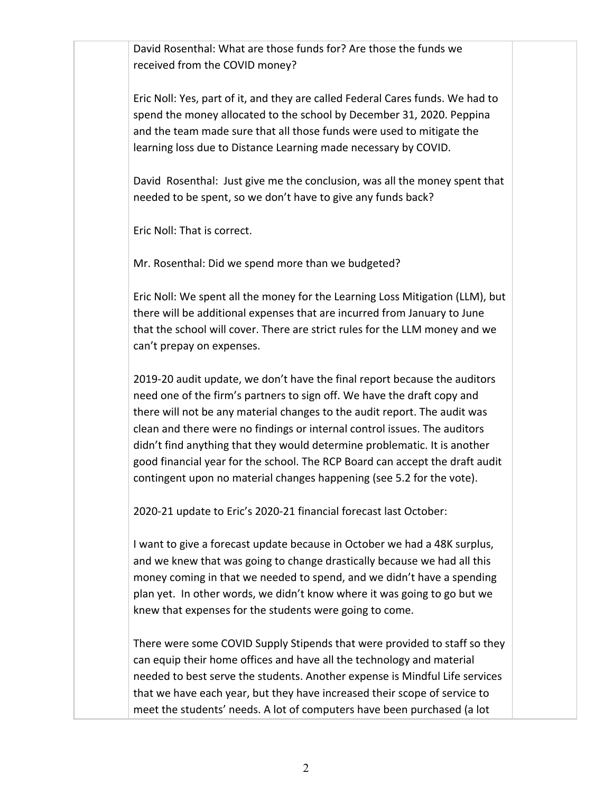David Rosenthal: What are those funds for? Are those the funds we received from the COVID money?

Eric Noll: Yes, part of it, and they are called Federal Cares funds. We had to spend the money allocated to the school by December 31, 2020. Peppina and the team made sure that all those funds were used to mitigate the learning loss due to Distance Learning made necessary by COVID.

David Rosenthal: Just give me the conclusion, was all the money spent that needed to be spent, so we don't have to give any funds back?

Eric Noll: That is correct.

Mr. Rosenthal: Did we spend more than we budgeted?

Eric Noll: We spent all the money for the Learning Loss Mitigation (LLM), but there will be additional expenses that are incurred from January to June that the school will cover. There are strict rules for the LLM money and we can't prepay on expenses.

2019-20 audit update, we don't have the final report because the auditors need one of the firm's partners to sign off. We have the draft copy and there will not be any material changes to the audit report. The audit was clean and there were no findings or internal control issues. The auditors didn't find anything that they would determine problematic. It is another good financial year for the school. The RCP Board can accept the draft audit contingent upon no material changes happening (see 5.2 for the vote).

2020-21 update to Eric's 2020-21 financial forecast last October:

I want to give a forecast update because in October we had a 48K surplus, and we knew that was going to change drastically because we had all this money coming in that we needed to spend, and we didn't have a spending plan yet. In other words, we didn't know where it was going to go but we knew that expenses for the students were going to come.

There were some COVID Supply Stipends that were provided to staff so they can equip their home offices and have all the technology and material needed to best serve the students. Another expense is Mindful Life services that we have each year, but they have increased their scope of service to meet the students' needs. A lot of computers have been purchased (a lot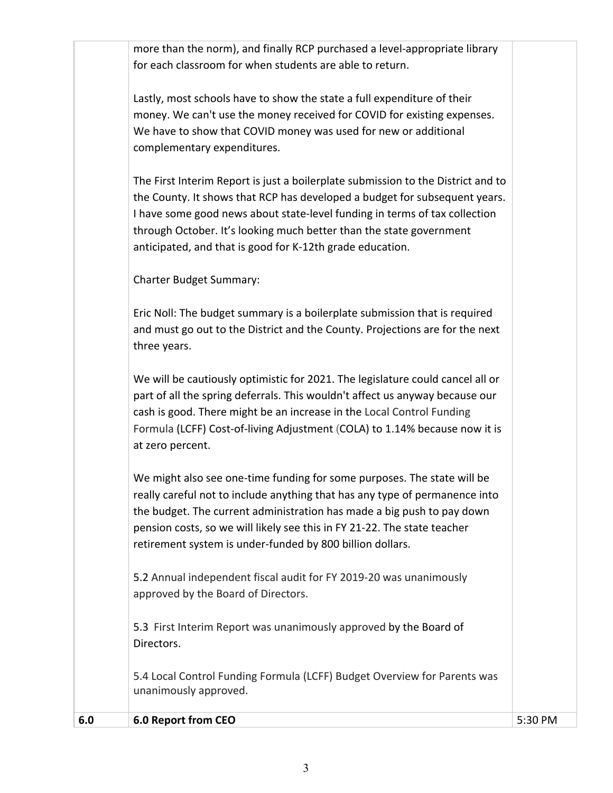more than the norm), and finally RCP purchased a level-appropriate library for each classroom for when students are able to return.

Lastly, most schools have to show the state a full expenditure of their money. We can't use the money received for COVID for existing expenses. We have to show that COVID money was used for new or additional complementary expenditures.

The First Interim Report is just a boilerplate submission to the District and to the County. It shows that RCP has developed a budget for subsequent years. I have some good news about state-level funding in terms of tax collection through October. It's looking much better than the state government anticipated, and that is good for K-12th grade education.

Charter Budget Summary:

Eric Noll: The budget summary is a boilerplate submission that is required and must go out to the District and the County. Projections are for the next three years.

We will be cautiously optimistic for 2021. The legislature could cancel all or part of all the spring deferrals. This wouldn't affect us anyway because our cash is good. There might be an increase in the Local Control Funding Formula (LCFF) Cost-of-living Adjustment (COLA) to 1.14% because now it is at zero percent.

We might also see one-time funding for some purposes. The state will be really careful not to include anything that has any type of permanence into the budget. The current administration has made a big push to pay down pension costs, so we will likely see this in FY 21-22. The state teacher retirement system is under-funded by 800 billion dollars.

5.2 Annual independent fiscal audit for FY 2019-20 was unanimously approved by the Board of Directors.

5.3 First Interim Report was unanimously approved by the Board of Directors.

5.4 Local Control Funding Formula (LCFF) Budget Overview for Parents was unanimously approved.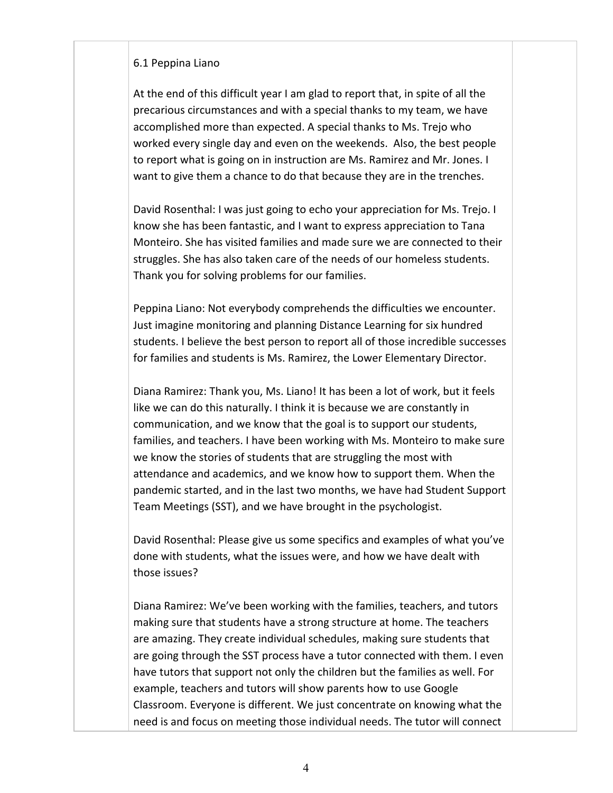## 6.1 Peppina Liano

At the end of this difficult year I am glad to report that, in spite of all the precarious circumstances and with a special thanks to my team, we have accomplished more than expected. A special thanks to Ms. Trejo who worked every single day and even on the weekends. Also, the best people to report what is going on in instruction are Ms. Ramirez and Mr. Jones. I want to give them a chance to do that because they are in the trenches.

David Rosenthal: I was just going to echo your appreciation for Ms. Trejo. I know she has been fantastic, and I want to express appreciation to Tana Monteiro. She has visited families and made sure we are connected to their struggles. She has also taken care of the needs of our homeless students. Thank you for solving problems for our families.

Peppina Liano: Not everybody comprehends the difficulties we encounter. Just imagine monitoring and planning Distance Learning for six hundred students. I believe the best person to report all of those incredible successes for families and students is Ms. Ramirez, the Lower Elementary Director.

Diana Ramirez: Thank you, Ms. Liano! It has been a lot of work, but it feels like we can do this naturally. I think it is because we are constantly in communication, and we know that the goal is to support our students, families, and teachers. I have been working with Ms. Monteiro to make sure we know the stories of students that are struggling the most with attendance and academics, and we know how to support them. When the pandemic started, and in the last two months, we have had Student Support Team Meetings (SST), and we have brought in the psychologist.

David Rosenthal: Please give us some specifics and examples of what you've done with students, what the issues were, and how we have dealt with those issues?

Diana Ramirez: We've been working with the families, teachers, and tutors making sure that students have a strong structure at home. The teachers are amazing. They create individual schedules, making sure students that are going through the SST process have a tutor connected with them. I even have tutors that support not only the children but the families as well. For example, teachers and tutors will show parents how to use Google Classroom. Everyone is different. We just concentrate on knowing what the need is and focus on meeting those individual needs. The tutor will connect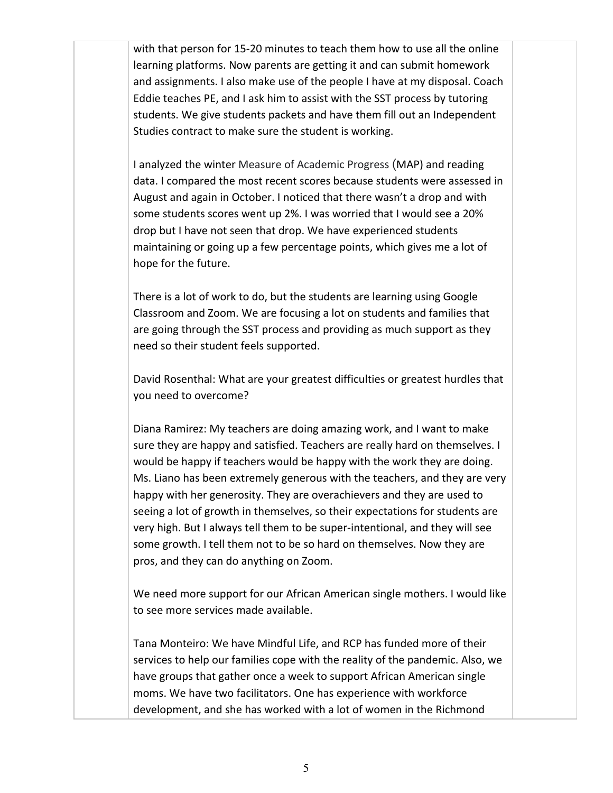with that person for 15-20 minutes to teach them how to use all the online learning platforms. Now parents are getting it and can submit homework and assignments. I also make use of the people I have at my disposal. Coach Eddie teaches PE, and I ask him to assist with the SST process by tutoring students. We give students packets and have them fill out an Independent Studies contract to make sure the student is working.

I analyzed the winter Measure of Academic Progress (MAP) and reading data. I compared the most recent scores because students were assessed in August and again in October. I noticed that there wasn't a drop and with some students scores went up 2%. I was worried that I would see a 20% drop but I have not seen that drop. We have experienced students maintaining or going up a few percentage points, which gives me a lot of hope for the future.

There is a lot of work to do, but the students are learning using Google Classroom and Zoom. We are focusing a lot on students and families that are going through the SST process and providing as much support as they need so their student feels supported.

David Rosenthal: What are your greatest difficulties or greatest hurdles that you need to overcome?

Diana Ramirez: My teachers are doing amazing work, and I want to make sure they are happy and satisfied. Teachers are really hard on themselves. I would be happy if teachers would be happy with the work they are doing. Ms. Liano has been extremely generous with the teachers, and they are very happy with her generosity. They are overachievers and they are used to seeing a lot of growth in themselves, so their expectations for students are very high. But I always tell them to be super-intentional, and they will see some growth. I tell them not to be so hard on themselves. Now they are pros, and they can do anything on Zoom.

We need more support for our African American single mothers. I would like to see more services made available.

Tana Monteiro: We have Mindful Life, and RCP has funded more of their services to help our families cope with the reality of the pandemic. Also, we have groups that gather once a week to support African American single moms. We have two facilitators. One has experience with workforce development, and she has worked with a lot of women in the Richmond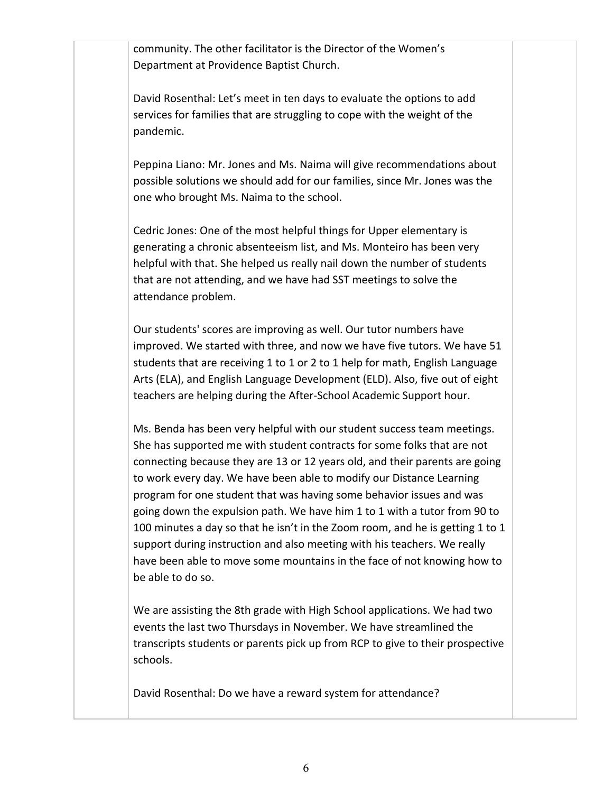community. The other facilitator is the Director of the Women's Department at Providence Baptist Church.

David Rosenthal: Let's meet in ten days to evaluate the options to add services for families that are struggling to cope with the weight of the pandemic.

Peppina Liano: Mr. Jones and Ms. Naima will give recommendations about possible solutions we should add for our families, since Mr. Jones was the one who brought Ms. Naima to the school.

Cedric Jones: One of the most helpful things for Upper elementary is generating a chronic absenteeism list, and Ms. Monteiro has been very helpful with that. She helped us really nail down the number of students that are not attending, and we have had SST meetings to solve the attendance problem.

Our students' scores are improving as well. Our tutor numbers have improved. We started with three, and now we have five tutors. We have 51 students that are receiving 1 to 1 or 2 to 1 help for math, English Language Arts (ELA), and English Language Development (ELD). Also, five out of eight teachers are helping during the After-School Academic Support hour.

Ms. Benda has been very helpful with our student success team meetings. She has supported me with student contracts for some folks that are not connecting because they are 13 or 12 years old, and their parents are going to work every day. We have been able to modify our Distance Learning program for one student that was having some behavior issues and was going down the expulsion path. We have him 1 to 1 with a tutor from 90 to 100 minutes a day so that he isn't in the Zoom room, and he is getting 1 to 1 support during instruction and also meeting with his teachers. We really have been able to move some mountains in the face of not knowing how to be able to do so.

We are assisting the 8th grade with High School applications. We had two events the last two Thursdays in November. We have streamlined the transcripts students or parents pick up from RCP to give to their prospective schools.

David Rosenthal: Do we have a reward system for attendance?